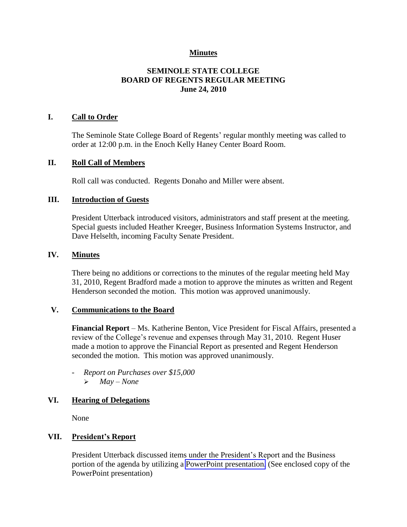# **Minutes**

# **SEMINOLE STATE COLLEGE BOARD OF REGENTS REGULAR MEETING June 24, 2010**

#### **I. Call to Order**

The Seminole State College Board of Regents' regular monthly meeting was called to order at 12:00 p.m. in the Enoch Kelly Haney Center Board Room.

#### **II. Roll Call of Members**

Roll call was conducted. Regents Donaho and Miller were absent.

#### **III. Introduction of Guests**

President Utterback introduced visitors, administrators and staff present at the meeting. Special guests included Heather Kreeger, Business Information Systems Instructor, and Dave Helselth, incoming Faculty Senate President.

#### **IV. Minutes**

There being no additions or corrections to the minutes of the regular meeting held May 31, 2010, Regent Bradford made a motion to approve the minutes as written and Regent Henderson seconded the motion. This motion was approved unanimously.

#### **V. Communications to the Board**

**Financial Report** – Ms. Katherine Benton, Vice President for Fiscal Affairs, presented a review of the College's revenue and expenses through May 31, 2010. Regent Huser made a motion to approve the Financial Report as presented and Regent Henderson seconded the motion. This motion was approved unanimously.

- *Report on Purchases over \$15,000 May – None*

# **VI. Hearing of Delegations**

None

### **VII. President's Report**

President Utterback discussed items under the President's Report and the Business portion of the agenda by utilizing a PowerPoint presentation. (See enclosed copy of the PowerPoint presentation)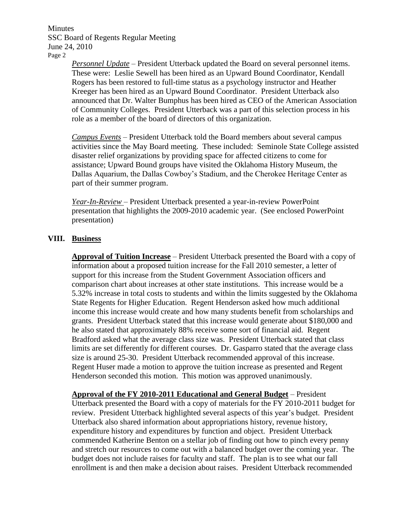Minutes SSC Board of Regents Regular Meeting June 24, 2010 Page 2

> *Personnel Update* – President Utterback updated the Board on several personnel items. These were: Leslie Sewell has been hired as an Upward Bound Coordinator, Kendall Rogers has been restored to full-time status as a psychology instructor and Heather Kreeger has been hired as an Upward Bound Coordinator. President Utterback also announced that Dr. Walter Bumphus has been hired as CEO of the American Association of Community Colleges. President Utterback was a part of this selection process in his role as a member of the board of directors of this organization.

> *Campus Events* – President Utterback told the Board members about several campus activities since the May Board meeting. These included: Seminole State College assisted disaster relief organizations by providing space for affected citizens to come for assistance; Upward Bound groups have visited the Oklahoma History Museum, the Dallas Aquarium, the Dallas Cowboy's Stadium, and the Cherokee Heritage Center as part of their summer program.

*Year-In-Review* – President Utterback presented a year-in-review PowerPoint presentation that highlights the 2009-2010 academic year. (See enclosed PowerPoint presentation)

# **VIII. Business**

**Approval of Tuition Increase** – President Utterback presented the Board with a copy of information about a proposed tuition increase for the Fall 2010 semester, a letter of support for this increase from the Student Government Association officers and comparison chart about increases at other state institutions. This increase would be a 5.32% increase in total costs to students and within the limits suggested by the Oklahoma State Regents for Higher Education. Regent Henderson asked how much additional income this increase would create and how many students benefit from scholarships and grants. President Utterback stated that this increase would generate about \$180,000 and he also stated that approximately 88% receive some sort of financial aid. Regent Bradford asked what the average class size was. President Utterback stated that class limits are set differently for different courses. Dr. Gasparro stated that the average class size is around 25-30. President Utterback recommended approval of this increase. Regent Huser made a motion to approve the tuition increase as presented and Regent Henderson seconded this motion. This motion was approved unanimously.

**Approval of the FY 2010-2011 Educational and General Budget** – President Utterback presented the Board with a copy of materials for the FY 2010-2011 budget for review. President Utterback highlighted several aspects of this year's budget. President Utterback also shared information about appropriations history, revenue history, expenditure history and expenditures by function and object. President Utterback commended Katherine Benton on a stellar job of finding out how to pinch every penny and stretch our resources to come out with a balanced budget over the coming year. The budget does not include raises for faculty and staff. The plan is to see what our fall enrollment is and then make a decision about raises. President Utterback recommended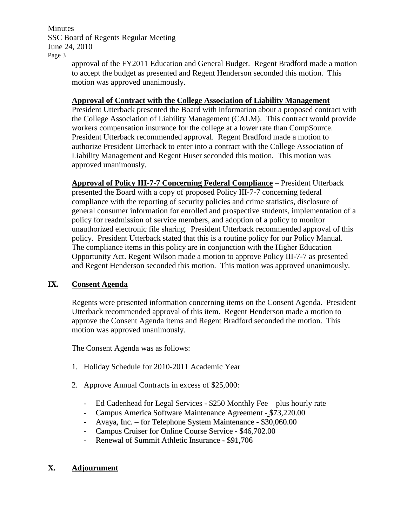**Minutes** SSC Board of Regents Regular Meeting June 24, 2010 Page 3

approval of the FY2011 Education and General Budget. Regent Bradford made a motion to accept the budget as presented and Regent Henderson seconded this motion. This motion was approved unanimously.

# **Approval of Contract with the College Association of Liability Management** –

President Utterback presented the Board with information about a proposed contract with the College Association of Liability Management (CALM). This contract would provide workers compensation insurance for the college at a lower rate than CompSource. President Utterback recommended approval. Regent Bradford made a motion to authorize President Utterback to enter into a contract with the College Association of Liability Management and Regent Huser seconded this motion. This motion was approved unanimously.

**Approval of Policy III-7-7 Concerning Federal Compliance** – President Utterback presented the Board with a copy of proposed Policy III-7-7 concerning federal compliance with the reporting of security policies and crime statistics, disclosure of general consumer information for enrolled and prospective students, implementation of a policy for readmission of service members, and adoption of a policy to monitor unauthorized electronic file sharing. President Utterback recommended approval of this policy. President Utterback stated that this is a routine policy for our Policy Manual. The compliance items in this policy are in conjunction with the Higher Education Opportunity Act. Regent Wilson made a motion to approve Policy III-7-7 as presented and Regent Henderson seconded this motion. This motion was approved unanimously.

# **IX. Consent Agenda**

Regents were presented information concerning items on the Consent Agenda. President Utterback recommended approval of this item. Regent Henderson made a motion to approve the Consent Agenda items and Regent Bradford seconded the motion. This motion was approved unanimously.

The Consent Agenda was as follows:

- 1. Holiday Schedule for 2010-2011 Academic Year
- 2. Approve Annual Contracts in excess of \$25,000:
	- Ed Cadenhead for Legal Services \$250 Monthly Fee plus hourly rate
	- Campus America Software Maintenance Agreement \$73,220.00
	- Avaya, Inc. for Telephone System Maintenance \$30,060.00
	- Campus Cruiser for Online Course Service \$46,702.00
	- Renewal of Summit Athletic Insurance \$91,706

# **X. Adjournment**